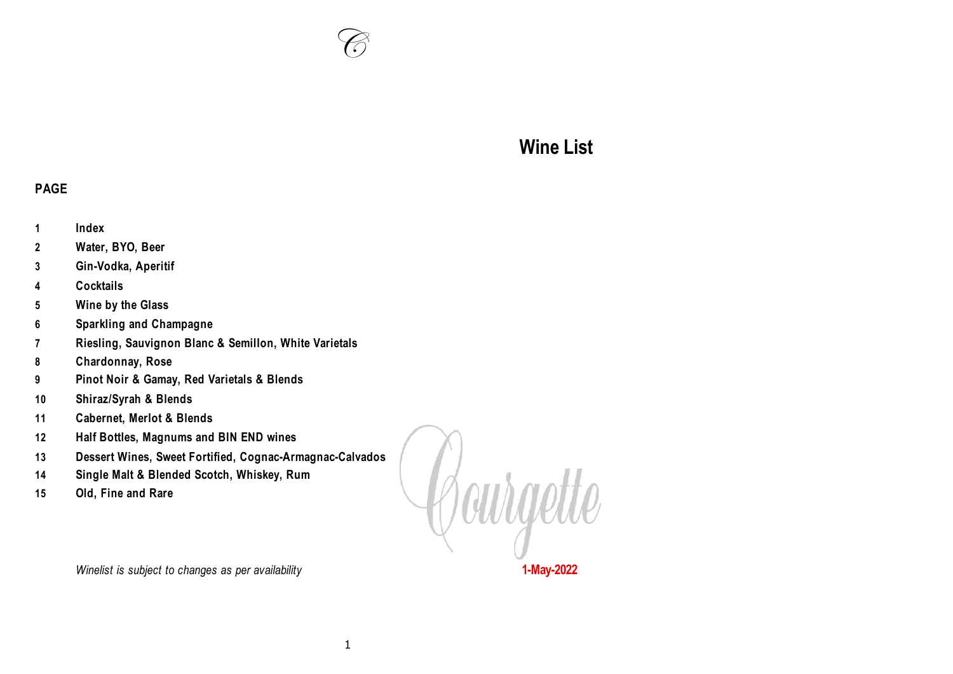

# **Wine List**

#### **PAGE**

- **Index**
- **Water, BYO, Beer**
- **Gin-Vodka, Aperitif**
- **Cocktails**
- **Wine by the Glass**
- **Sparkling and Champagne**
- **Riesling, Sauvignon Blanc & Semillon, White Varietals**
- **Chardonnay, Rose**
- **Pinot Noir & Gamay, Red Varietals & Blends**
- **Shiraz/Syrah & Blends**
- **Cabernet, Merlot & Blends**
- **Half Bottles, Magnums and BIN END wines**
- **Dessert Wines, Sweet Fortified, Cognac-Armagnac-Calvados**
- **Single Malt & Blended Scotch, Whiskey, Rum**
- **Old, Fine and Rare**

Courgette

*Winelist is subject to changes as per availability* **<b>1-May-2022**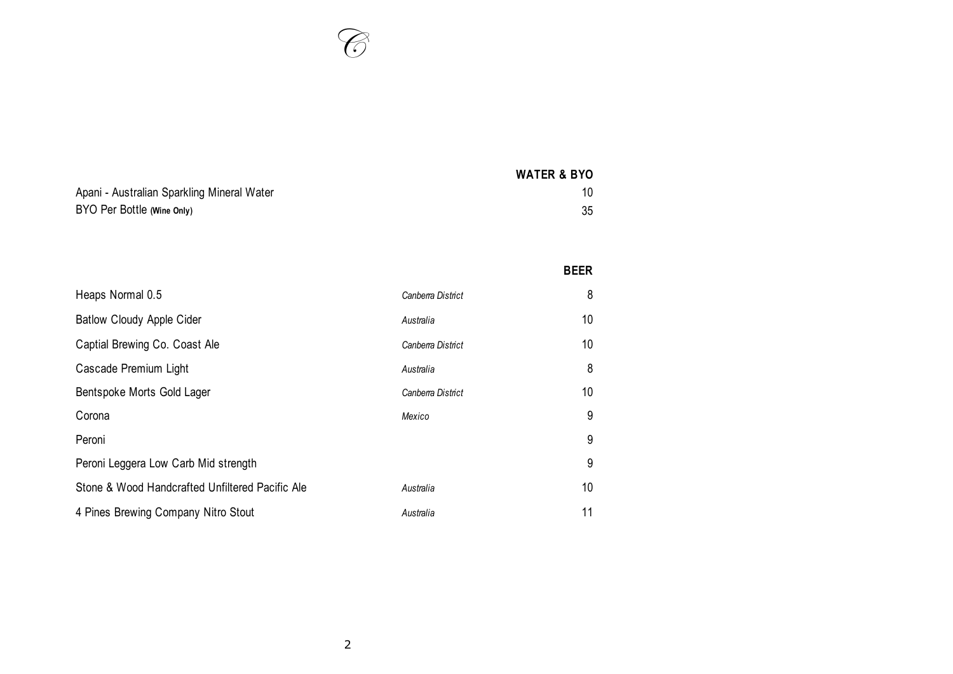

|                                            | <b>WATER &amp; BYO</b> |
|--------------------------------------------|------------------------|
| Apani - Australian Sparkling Mineral Water | 10                     |
| BYO Per Bottle (Wine Only)                 | 35                     |

|                                                 |                   | <b>BEER</b> |
|-------------------------------------------------|-------------------|-------------|
| Heaps Normal 0.5                                | Canberra District | 8           |
| <b>Batlow Cloudy Apple Cider</b>                | Australia         | 10          |
| Captial Brewing Co. Coast Ale                   | Canberra District | 10          |
| Cascade Premium Light                           | Australia         | 8           |
| Bentspoke Morts Gold Lager                      | Canberra District | 10          |
| Corona                                          | Mexico            | 9           |
| Peroni                                          |                   | 9           |
| Peroni Leggera Low Carb Mid strength            |                   | 9           |
| Stone & Wood Handcrafted Unfiltered Pacific Ale | Australia         | 10          |
| 4 Pines Brewing Company Nitro Stout             | Australia         | 11          |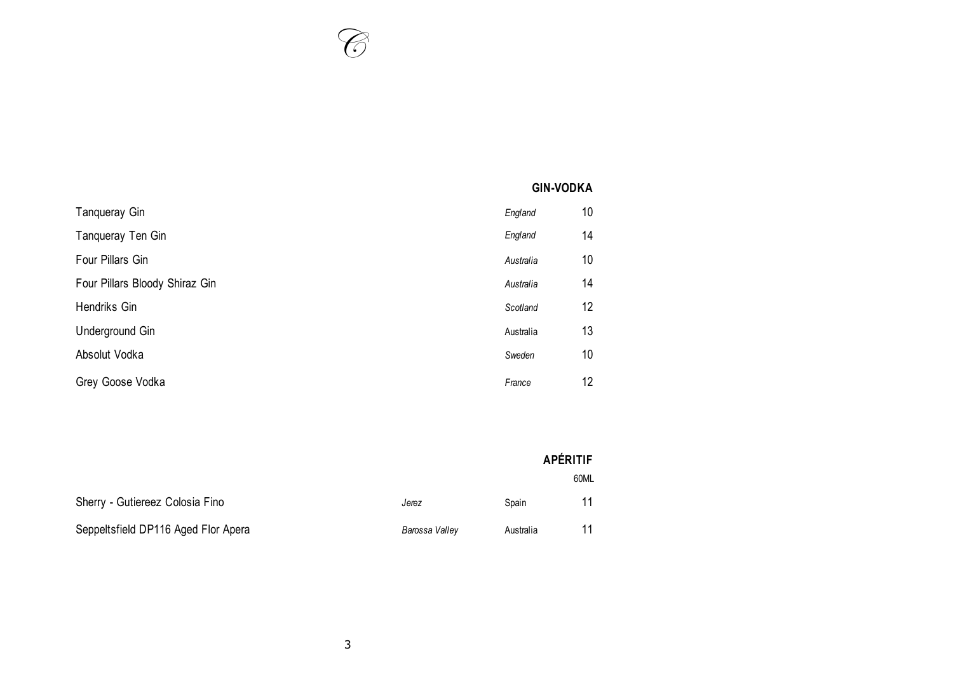# **GIN-VODKA**

| Tanqueray Gin                  | England   | 10 |
|--------------------------------|-----------|----|
| Tanqueray Ten Gin              | England   | 14 |
| Four Pillars Gin               | Australia | 10 |
| Four Pillars Bloody Shiraz Gin | Australia | 14 |
| Hendriks Gin                   | Scotland  | 12 |
| Underground Gin                | Australia | 13 |
| Absolut Vodka                  | Sweden    | 10 |
| Grey Goose Vodka               | France    | 12 |

|                                     |                |           | <b>APÉRITIF</b> |
|-------------------------------------|----------------|-----------|-----------------|
|                                     |                |           | 60ML            |
| Sherry - Gutiereez Colosia Fino     | Jerez          | Spain     | 11              |
| Seppeltsfield DP116 Aged Flor Apera | Barossa Valley | Australia | 11              |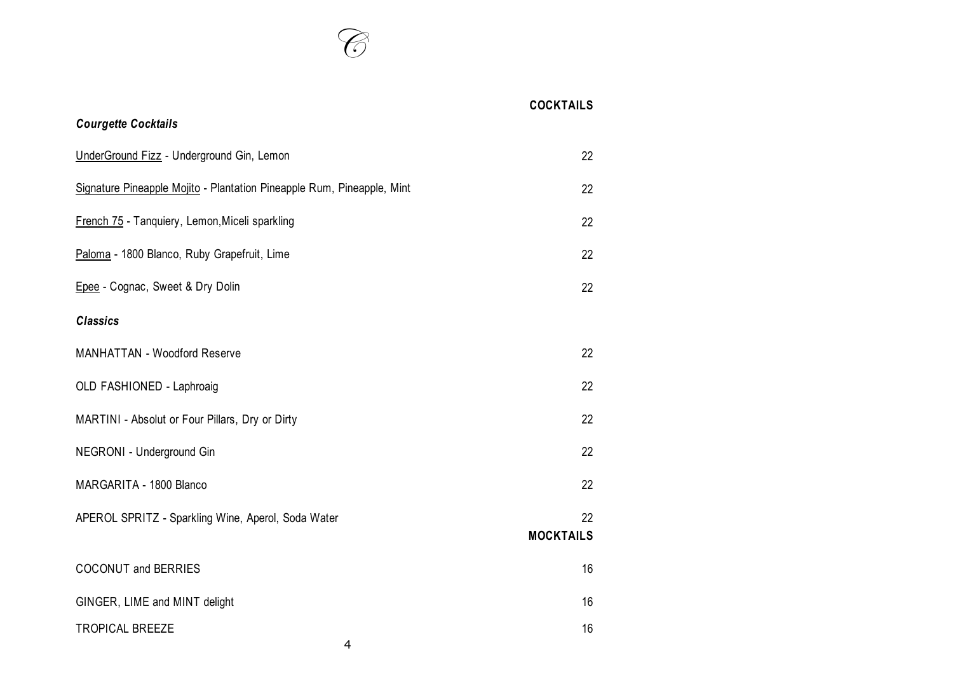| <b>Courgette Cocktails</b>                                             | <b>COCKTAILS</b>       |
|------------------------------------------------------------------------|------------------------|
|                                                                        |                        |
| UnderGround Fizz - Underground Gin, Lemon                              | 22                     |
| Signature Pineapple Mojito - Plantation Pineapple Rum, Pineapple, Mint | 22                     |
| French 75 - Tanquiery, Lemon, Miceli sparkling                         | 22                     |
| Paloma - 1800 Blanco, Ruby Grapefruit, Lime                            | 22                     |
| Epee - Cognac, Sweet & Dry Dolin                                       | 22                     |
| <b>Classics</b>                                                        |                        |
| <b>MANHATTAN - Woodford Reserve</b>                                    | 22                     |
| OLD FASHIONED - Laphroaig                                              | 22                     |
| MARTINI - Absolut or Four Pillars, Dry or Dirty                        | 22                     |
| NEGRONI - Underground Gin                                              | 22                     |
| MARGARITA - 1800 Blanco                                                | 22                     |
| APEROL SPRITZ - Sparkling Wine, Aperol, Soda Water                     | 22<br><b>MOCKTAILS</b> |
| <b>COCONUT and BERRIES</b>                                             | 16                     |
| GINGER, LIME and MINT delight                                          | 16                     |
| <b>TROPICAL BREEZE</b>                                                 | 16                     |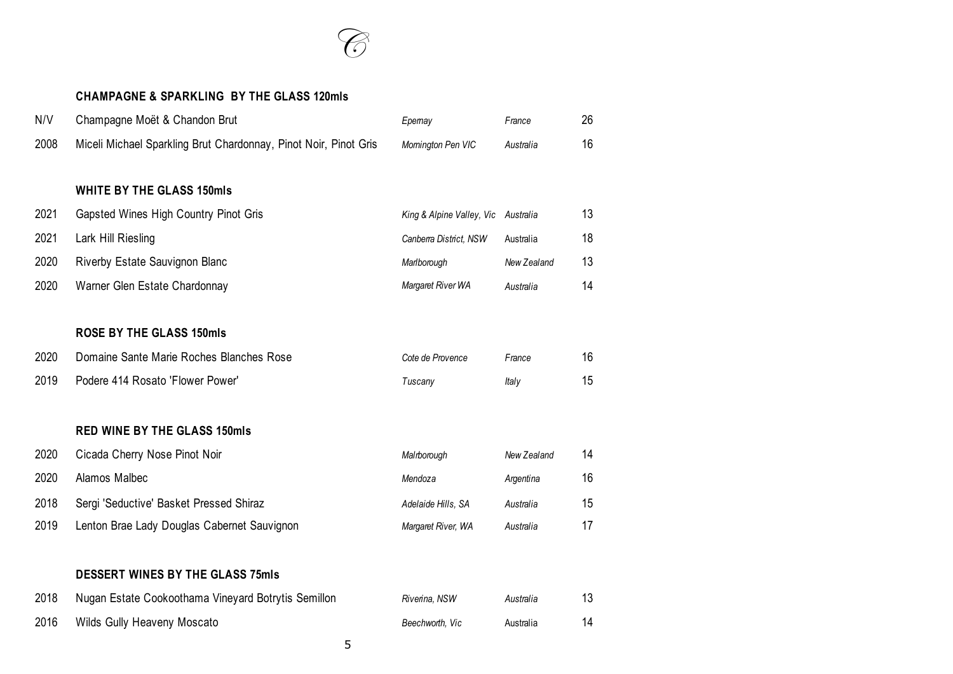

#### **CHAMPAGNE & SPARKLING BY THE GLASS 120mls**

| N/V  | Champagne Moët & Chandon Brut                                    | Epemay                              | France      | 26 |
|------|------------------------------------------------------------------|-------------------------------------|-------------|----|
| 2008 | Miceli Michael Sparkling Brut Chardonnay, Pinot Noir, Pinot Gris | Momington Pen VIC                   | Australia   | 16 |
|      |                                                                  |                                     |             |    |
|      | <b>WHITE BY THE GLASS 150mls</b>                                 |                                     |             |    |
| 2021 | Gapsted Wines High Country Pinot Gris                            | King & Alpine Valley, Vic Australia |             | 13 |
| 2021 | Lark Hill Riesling                                               | Canberra District, NSW              | Australia   | 18 |
| 2020 | Riverby Estate Sauvignon Blanc                                   | Marlborough                         | New Zealand | 13 |
| 2020 | Warner Glen Estate Chardonnay                                    | Margaret River WA                   | Australia   | 14 |
|      |                                                                  |                                     |             |    |
|      | <b>ROSE BY THE GLASS 150mls</b>                                  |                                     |             |    |
| 2020 | Domaine Sante Marie Roches Blanches Rose                         | Cote de Provence                    | France      | 16 |
| 2019 | Podere 414 Rosato 'Flower Power'                                 | Tuscany                             | Italy       | 15 |
|      |                                                                  |                                     |             |    |
|      | <b>RED WINE BY THE GLASS 150mls</b>                              |                                     |             |    |
| 2020 | Cicada Cherry Nose Pinot Noir                                    | Malrborough                         | New Zealand | 14 |
| 2020 | Alamos Malbec                                                    | Mendoza                             | Argentina   | 16 |
| 2018 | Sergi 'Seductive' Basket Pressed Shiraz                          | Adelaide Hills, SA                  | Australia   | 15 |
| 2019 | Lenton Brae Lady Douglas Cabernet Sauvignon                      | Margaret River, WA                  | Australia   | 17 |
|      |                                                                  |                                     |             |    |
|      | <b>DESSERT WINES BY THE GLASS 75mls</b>                          |                                     |             |    |
| 2018 | Nugan Estate Cookoothama Vineyard Botrytis Semillon              | Riverina, NSW                       | Australia   | 13 |
| 2016 | Wilds Gully Heaveny Moscato                                      | Beechworth. Vic                     | Australia   | 14 |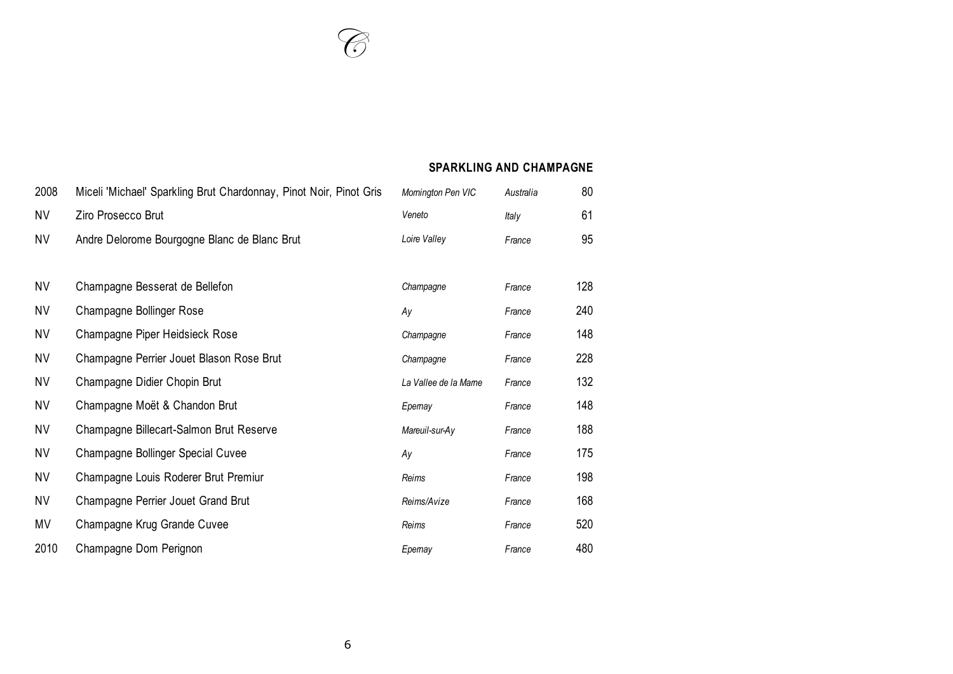#### **SPARKLING AND CHAMPAGNE**

| 2008      | Miceli 'Michael' Sparkling Brut Chardonnay, Pinot Noir, Pinot Gris | Momington Pen VIC    | Australia | 80  |
|-----------|--------------------------------------------------------------------|----------------------|-----------|-----|
| NV        | Ziro Prosecco Brut                                                 | Veneto               | Italy     | 61  |
| NV        | Andre Delorome Bourgogne Blanc de Blanc Brut                       | Loire Valley         | France    | 95  |
|           |                                                                    |                      |           |     |
| NV        | Champagne Besserat de Bellefon                                     | Champagne            | France    | 128 |
| NV        | Champagne Bollinger Rose                                           | Ay                   | France    | 240 |
| NV        | Champagne Piper Heidsieck Rose                                     | Champagne            | France    | 148 |
| ΝV        | Champagne Perrier Jouet Blason Rose Brut                           | Champagne            | France    | 228 |
| NV        | Champagne Didier Chopin Brut                                       | La Vallee de la Mame | France    | 132 |
| <b>NV</b> | Champagne Moët & Chandon Brut                                      | Epemay               | France    | 148 |
| NV        | Champagne Billecart-Salmon Brut Reserve                            | Mareuil-sur-Ay       | France    | 188 |
| <b>NV</b> | <b>Champagne Bollinger Special Cuvee</b>                           | Ay                   | France    | 175 |
| <b>NV</b> | Champagne Louis Roderer Brut Premiur                               | Reims                | France    | 198 |
| <b>NV</b> | Champagne Perrier Jouet Grand Brut                                 | Reims/Avize          | France    | 168 |
| MV        | Champagne Krug Grande Cuvee                                        | Reims                | France    | 520 |
| 2010      | Champagne Dom Perignon                                             | Epemay               | France    | 480 |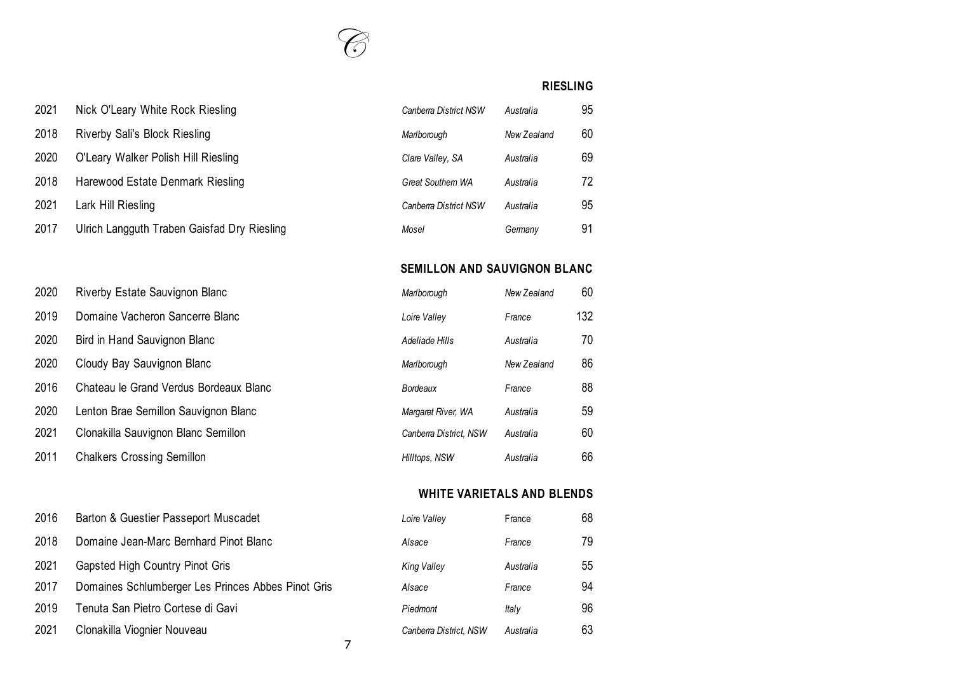

#### **RIESLING**

| 2021 | Nick O'Leary White Rock Riesling            | Canberra District NSW   | Australia   | 95 |
|------|---------------------------------------------|-------------------------|-------------|----|
| 2018 | Riverby Sali's Block Riesling               | Marlborough             | New Zealand | 60 |
| 2020 | O'Leary Walker Polish Hill Riesling         | Clare Valley, SA        | Australia   | 69 |
| 2018 | Harewood Estate Denmark Riesling            | <b>Great Southem WA</b> | Australia   | 72 |
| 2021 | Lark Hill Riesling                          | Canberra District NSW   | Australia   | 95 |
| 2017 | Ulrich Langguth Traben Gaisfad Dry Riesling | Mosel                   | Germany     | 91 |

2020 Riverby Estate Sauvignon Blanc

2020 Bird in Hand Sauvignon Blanc

2020 Cloudy Bay Sauvignon Blanc

2011 Chalkers Crossing Semillon

2019 Domaine Vacheron Sancerre Blanc *Loire Valley France* 132

2016 Chateau le Grand Verdus Bordeaux Blanc

2020 Lenton Brae Semillon Sauvignon Blanc 2021 Clonakilla Sauvignon Blanc Semillon

2016 Barton & Guestier Passeport Muscadet

2021 Gapsted High Country Pinot Gris

2019 Tenuta San Pietro Cortese di Gavi *Piedmont Italy* 96

2021 Clonakilla Viognier Nouveau

2018 Domaine Jean-Marc Bernhard Pinot Blanc

2017 Domaines Schlumberger Les Princes Abbes Pinot Gris

#### **SEMILLON AND SAUVIGNON BLANC**

| Marlborough            | New Zealand | 60  |
|------------------------|-------------|-----|
| Loire Valley           | France      | 132 |
| Adeliade Hills         | Australia   | 70  |
| Marlborough            | New Zealand | 86  |
| Bordeaux               | France      | 88  |
| Margaret River, WA     | Australia   | 59  |
| Canberra District. NSW | Australia   | 60  |
| Hilltops, NSW          | Australia   | 66  |
|                        |             |     |

#### **WHITE VARIETALS AND BLENDS**

| Loire Valley           | France    | 68 |
|------------------------|-----------|----|
| Alsace                 | France    | 79 |
| King Valley            | Australia | 55 |
| Alsace                 | France    | 94 |
| Piedmont               | ltaly     | 96 |
| Canberra District, NSW | Australia | 63 |

7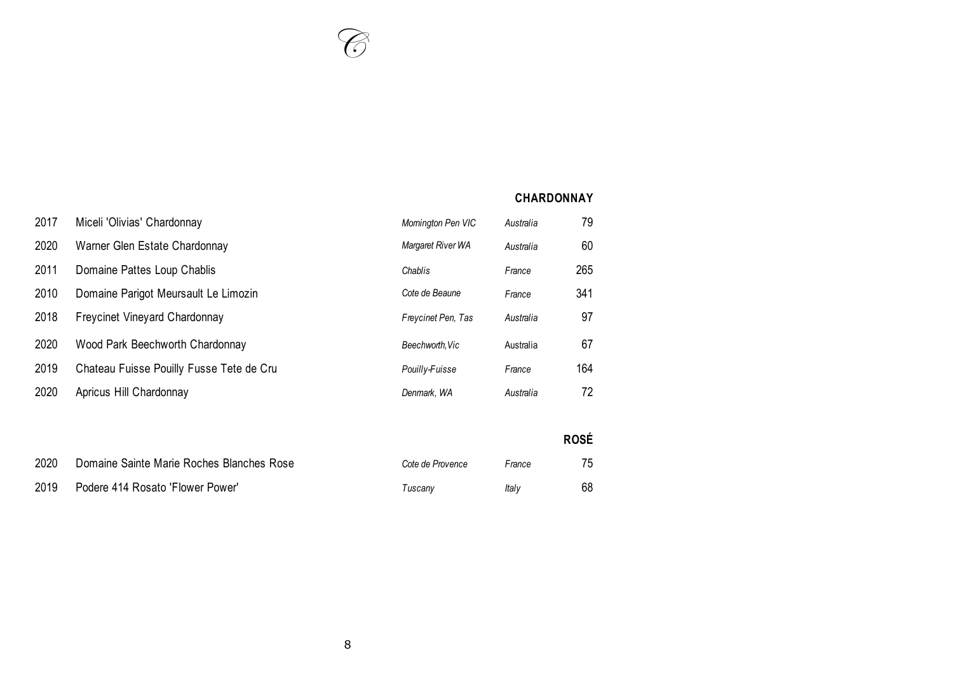#### **CHARDONNAY**

| 2017 | Miceli 'Olivias' Chardonnay               | Momington Pen VIC  | Australia | 79          |
|------|-------------------------------------------|--------------------|-----------|-------------|
| 2020 | Warner Glen Estate Chardonnay             | Margaret River WA  | Australia | 60          |
| 2011 | Domaine Pattes Loup Chablis               | Chablis            | France    | 265         |
| 2010 | Domaine Parigot Meursault Le Limozin      | Cote de Beaune     | France    | 341         |
| 2018 | <b>Freycinet Vineyard Chardonnay</b>      | Freycinet Pen, Tas | Australia | 97          |
| 2020 | Wood Park Beechworth Chardonnay           | Beechworth, Vic    | Australia | 67          |
| 2019 | Chateau Fuisse Pouilly Fusse Tete de Cru  | Pouilly-Fuisse     | France    | 164         |
| 2020 | Apricus Hill Chardonnay                   | Denmark, WA        | Australia | 72          |
|      |                                           |                    |           |             |
|      |                                           |                    |           | <b>ROSÉ</b> |
| 2020 | Domaine Sainte Marie Roches Blanches Rose | Cote de Provence   | France    | 75          |
| 2019 | Podere 414 Rosato 'Flower Power'          | Tuscany            | Italy     | 68          |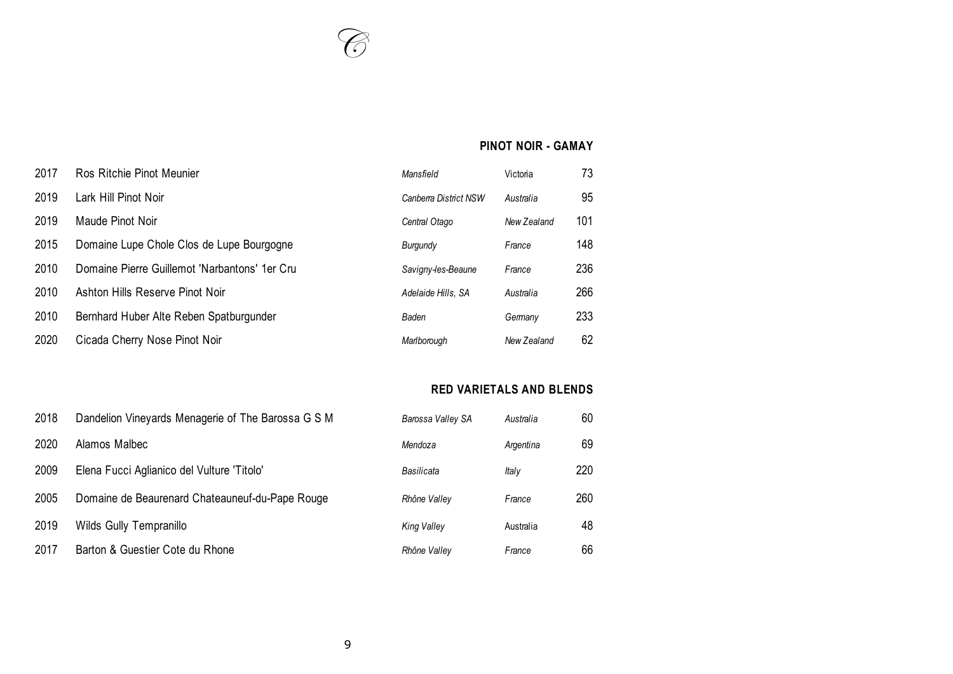### **PINOT NOIR - GAMAY**

| 2017 | Ros Ritchie Pinot Meunier                     | Mansfield             | Victoria    | 73  |
|------|-----------------------------------------------|-----------------------|-------------|-----|
| 2019 | Lark Hill Pinot Noir                          | Canberra District NSW | Australia   | 95  |
| 2019 | Maude Pinot Noir                              | Central Otago         | New Zealand | 101 |
| 2015 | Domaine Lupe Chole Clos de Lupe Bourgogne     | Burgundy              | France      | 148 |
| 2010 | Domaine Pierre Guillemot 'Narbantons' 1er Cru | Savigny-les-Beaune    | France      | 236 |
| 2010 | Ashton Hills Reserve Pinot Noir               | Adelaide Hills, SA    | Australia   | 266 |
| 2010 | Bernhard Huber Alte Reben Spatburgunder       | Baden                 | Germany     | 233 |
| 2020 | Cicada Cherry Nose Pinot Noir                 | Marlborough           | New Zealand | 62  |

### **RED VARIETALS AND BLENDS**

| 2018 | Dandelion Vineyards Menagerie of The Barossa G S M | Barossa Valley SA  | Australia | 60  |
|------|----------------------------------------------------|--------------------|-----------|-----|
| 2020 | Alamos Malbec                                      | Mendoza            | Argentina | 69  |
| 2009 | Elena Fucci Aglianico del Vulture 'Titolo'         | Basilicata         | ltaly     | 220 |
| 2005 | Domaine de Beaurenard Chateauneuf-du-Pape Rouge    | Rhône Valley       | France    | 260 |
| 2019 | Wilds Gully Tempranillo                            | <b>King Valley</b> | Australia | 48  |
| 2017 | Barton & Guestier Cote du Rhone                    | Rhône Valley       | France    | 66  |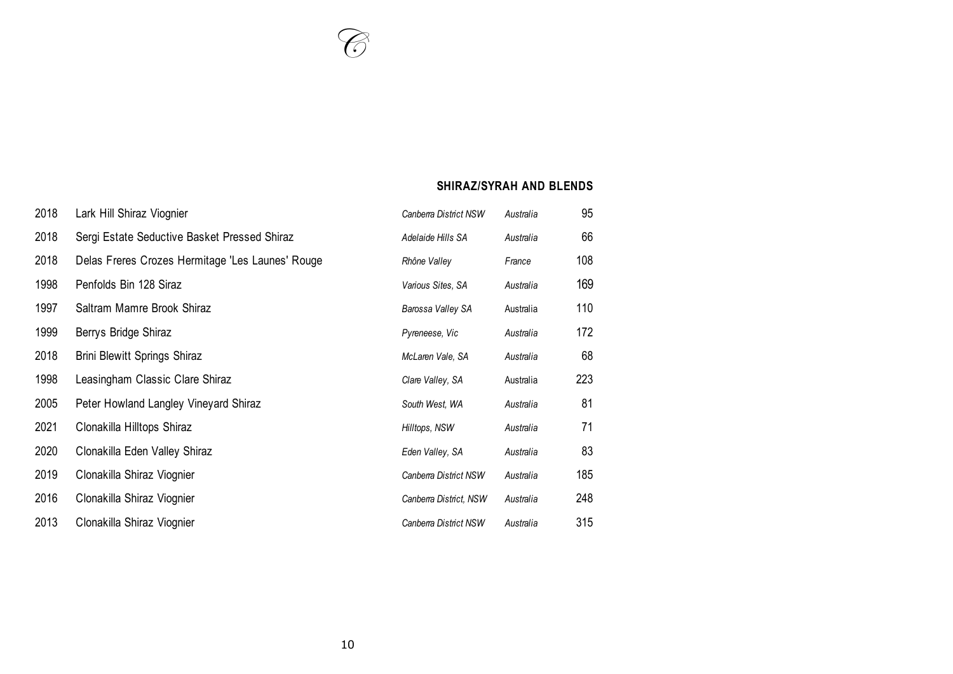### **SHIRAZ/SYRAH AND BLENDS**

| 2018 | Lark Hill Shiraz Viognier                        | Canberra District NSW  | Australia | 95  |
|------|--------------------------------------------------|------------------------|-----------|-----|
| 2018 | Sergi Estate Seductive Basket Pressed Shiraz     | Adelaide Hills SA      | Australia | 66  |
| 2018 | Delas Freres Crozes Hermitage 'Les Launes' Rouge | Rhône Valley           | France    | 108 |
| 1998 | Penfolds Bin 128 Siraz                           | Various Sites, SA      | Australia | 169 |
| 1997 | Saltram Mamre Brook Shiraz                       | Barossa Valley SA      | Australia | 110 |
| 1999 | Berrys Bridge Shiraz                             | Pyreneese, Vic         | Australia | 172 |
| 2018 | <b>Brini Blewitt Springs Shiraz</b>              | McLaren Vale, SA       | Australia | 68  |
| 1998 | Leasingham Classic Clare Shiraz                  | Clare Valley, SA       | Australia | 223 |
| 2005 | Peter Howland Langley Vineyard Shiraz            | South West, WA         | Australia | 81  |
| 2021 | Clonakilla Hilltops Shiraz                       | Hilltops, NSW          | Australia | 71  |
| 2020 | Clonakilla Eden Valley Shiraz                    | Eden Valley, SA        | Australia | 83  |
| 2019 | Clonakilla Shiraz Viognier                       | Canberra District NSW  | Australia | 185 |
| 2016 | Clonakilla Shiraz Viognier                       | Canberra District, NSW | Australia | 248 |
| 2013 | Clonakilla Shiraz Viognier                       | Canberra District NSW  | Australia | 315 |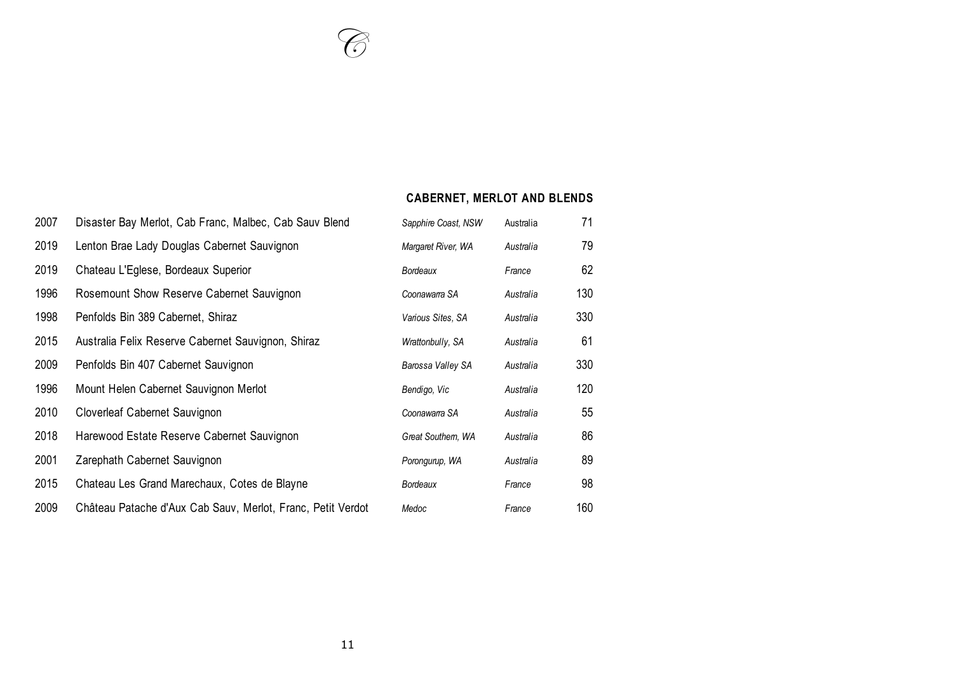# **CABERNET, MERLOT AND BLENDS**

| 2007 | Disaster Bay Merlot, Cab Franc, Malbec, Cab Sauv Blend      | Sapphire Coast, NSW | Australia | 71  |
|------|-------------------------------------------------------------|---------------------|-----------|-----|
| 2019 | Lenton Brae Lady Douglas Cabernet Sauvignon                 | Margaret River, WA  | Australia | 79  |
| 2019 | Chateau L'Eglese, Bordeaux Superior                         | Bordeaux            | France    | 62  |
| 1996 | Rosemount Show Reserve Cabernet Sauvignon                   | Coonawarra SA       | Australia | 130 |
| 1998 | Penfolds Bin 389 Cabernet, Shiraz                           | Various Sites, SA   | Australia | 330 |
| 2015 | Australia Felix Reserve Cabernet Sauvignon, Shiraz          | Wrattonbully, SA    | Australia | 61  |
| 2009 | Penfolds Bin 407 Cabernet Sauvignon                         | Barossa Valley SA   | Australia | 330 |
| 1996 | Mount Helen Cabernet Sauvignon Merlot                       | Bendigo, Vic        | Australia | 120 |
| 2010 | Cloverleaf Cabernet Sauvignon                               | Coonawarra SA       | Australia | 55  |
| 2018 | Harewood Estate Reserve Cabernet Sauvignon                  | Great Southern, WA  | Australia | 86  |
| 2001 | Zarephath Cabernet Sauvignon                                | Porongurup, WA      | Australia | 89  |
| 2015 | Chateau Les Grand Marechaux, Cotes de Blayne                | Bordeaux            | France    | 98  |
| 2009 | Château Patache d'Aux Cab Sauv, Merlot, Franc, Petit Verdot | Medoc               | France    | 160 |

**Contact Contact Contact Contact Contact Contact Contact Contact Contact Contact Contact Contact Contact Contact Contact Contact Contact Contact Contact Contact Contact Contact Contact Contact Contact Contact Contact Conta**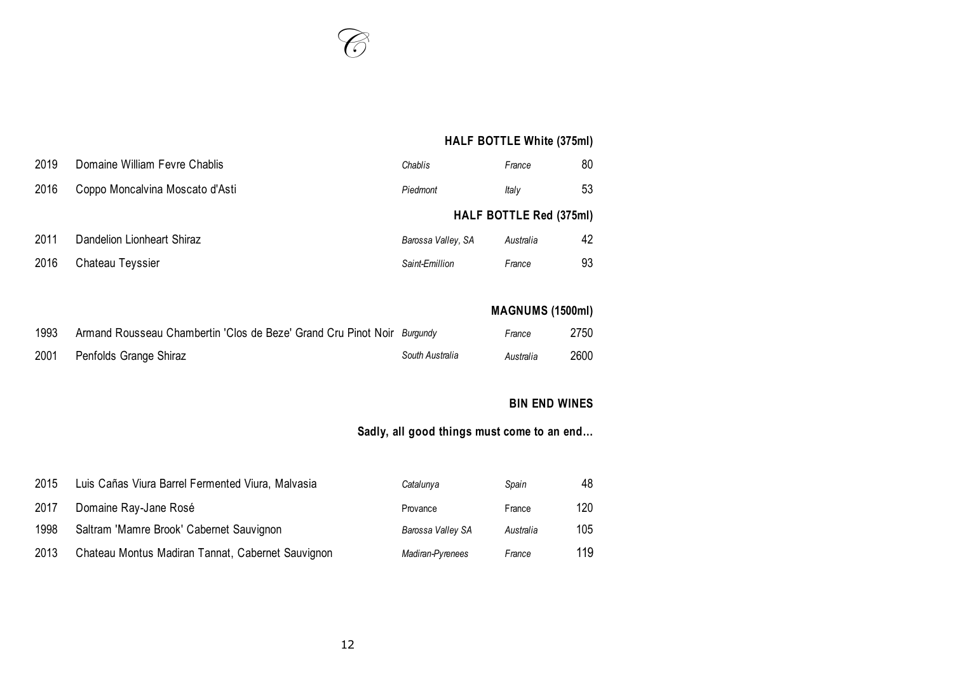

# **HALF BOTTLE White (375ml)**

| 2019 | Domaine William Fevre Chablis   | Chablis            | France                         | 80 |
|------|---------------------------------|--------------------|--------------------------------|----|
| 2016 | Coppo Moncalvina Moscato d'Asti | Piedmont           | Italv                          | 53 |
|      |                                 |                    | <b>HALF BOTTLE Red (375ml)</b> |    |
| 2011 | Dandelion Lionheart Shiraz      | Barossa Valley, SA | Australia                      | 42 |
| 2016 | Chateau Teyssier                | Saint-Emillion     | France                         | 93 |
|      |                                 |                    |                                |    |

# **MAGNUMS (1500ml)**

| 1993 | Armand Rousseau Chambertin 'Clos de Beze' Grand Cru Pinot Noir Burgundy |                 | France    | 2750 |
|------|-------------------------------------------------------------------------|-----------------|-----------|------|
| 2001 | Penfolds Grange Shiraz                                                  | South Australia | Australia | 2600 |

### **BIN END WINES**

# **Sadly, all good things must come to an end…**

| 2015 | Luis Cañas Viura Barrel Fermented Viura, Malvasia | Catalunya         | Spain     | 48  |
|------|---------------------------------------------------|-------------------|-----------|-----|
| 2017 | Domaine Ray-Jane Rosé                             | Provance          | France    | 120 |
| 1998 | Saltram 'Mamre Brook' Cabernet Sauvignon          | Barossa Valley SA | Australia | 105 |
| 2013 | Chateau Montus Madiran Tannat, Cabernet Sauvignon | Madiran-Pyrenees  | France    | 119 |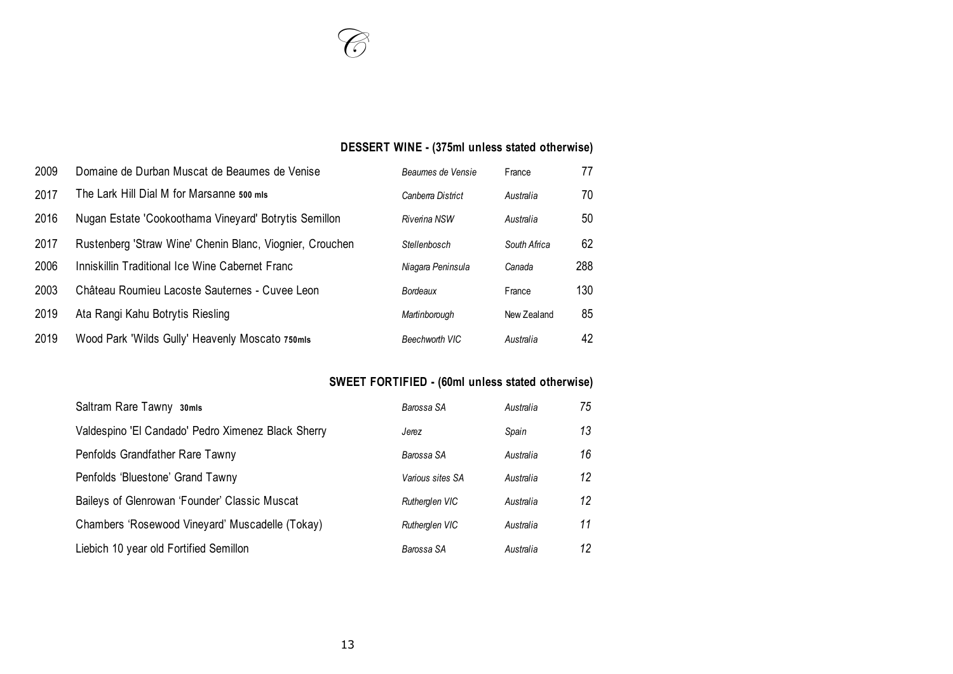# **DESSERT WINE - (375ml unless stated otherwise)**

| 2009 | Domaine de Durban Muscat de Beaumes de Venise            | Beaumes de Vensie | France       | 77  |
|------|----------------------------------------------------------|-------------------|--------------|-----|
| 2017 | The Lark Hill Dial M for Marsanne 500 mls                | Canberra District | Australia    | 70  |
| 2016 | Nugan Estate 'Cookoothama Vineyard' Botrytis Semillon    | Riverina NSW      | Australia    | 50  |
| 2017 | Rustenberg 'Straw Wine' Chenin Blanc, Viognier, Crouchen | Stellenbosch      | South Africa | 62  |
| 2006 | Inniskillin Traditional Ice Wine Cabernet Franc          | Niagara Peninsula | Canada       | 288 |
| 2003 | Château Roumieu Lacoste Sauternes - Cuvee Leon           | Bordeaux          | France       | 130 |
| 2019 | Ata Rangi Kahu Botrytis Riesling                         | Martinborough     | New Zealand  | 85  |
| 2019 | Wood Park 'Wilds Gully' Heavenly Moscato 750mls          | Beechworth VIC    | Australia    | 42  |

# **SWEET FORTIFIED - (60ml unless stated otherwise)**

| Saltram Rare Tawny 30mls                           | Barossa SA            | Australia | 75 |
|----------------------------------------------------|-----------------------|-----------|----|
| Valdespino 'El Candado' Pedro Ximenez Black Sherry | Jerez                 | Spain     | 13 |
| Penfolds Grandfather Rare Tawny                    | Barossa SA            | Australia | 16 |
| Penfolds 'Bluestone' Grand Tawny                   | Various sites SA      | Australia | 12 |
| Baileys of Glenrowan 'Founder' Classic Muscat      | Rutherglen VIC        | Australia | 12 |
| Chambers 'Rosewood Vineyard' Muscadelle (Tokay)    | <b>Rutherglen VIC</b> | Australia | 11 |
| Liebich 10 year old Fortified Semillon             | Barossa SA            | Australia | 12 |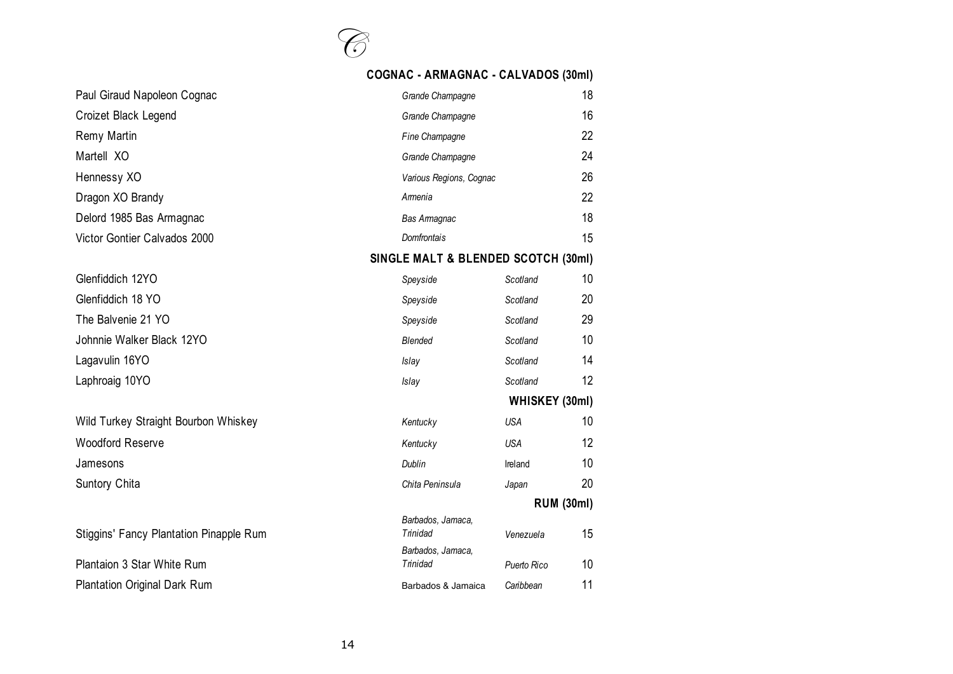

#### **COGNAC - ARMAGNAC - CALVADOS (30ml)**

| Paul Giraud Napoleon Cognac                    | Grande Champagne                    |                   |    |  |
|------------------------------------------------|-------------------------------------|-------------------|----|--|
| Croizet Black Legend<br>Grande Champagne       |                                     |                   | 16 |  |
| Remy Martin                                    | Fine Champagne                      |                   | 22 |  |
| Martell XO                                     | Grande Champagne                    |                   | 24 |  |
| Hennessy XO                                    | Various Regions, Cognac             |                   | 26 |  |
| Dragon XO Brandy                               | Amenia                              |                   | 22 |  |
| Delord 1985 Bas Armagnac                       | <b>Bas Amagnac</b>                  |                   | 18 |  |
| Victor Gontier Calvados 2000                   | <b>Domfrontais</b>                  |                   | 15 |  |
|                                                | SINGLE MALT & BLENDED SCOTCH (30ml) |                   |    |  |
| Glenfiddich 12YO                               | Speyside                            | Scotland          | 10 |  |
| Glenfiddich 18 YO                              | Speyside                            | Scotland          | 20 |  |
| The Balvenie 21 YO                             | Speyside                            | Scotland          | 29 |  |
| Johnnie Walker Black 12YO                      | <b>Blended</b>                      | Scotland          | 10 |  |
| Lagavulin 16YO                                 | Islay                               | Scotland          | 14 |  |
| Laphroaig 10YO                                 | Islay                               | Scotland          | 12 |  |
|                                                |                                     | WHISKEY (30ml)    |    |  |
| Wild Turkey Straight Bourbon Whiskey           | Kentucky                            | <b>USA</b>        | 10 |  |
| <b>Woodford Reserve</b>                        | Kentucky                            | <b>USA</b>        | 12 |  |
| Jamesons                                       | Dublin                              | Ireland           | 10 |  |
| Suntory Chita                                  | Chita Peninsula                     | Japan             | 20 |  |
|                                                |                                     | <b>RUM (30ml)</b> |    |  |
| <b>Stiggins' Fancy Plantation Pinapple Rum</b> | Barbados, Jamaca,<br>Trinidad       | Venezuela         | 15 |  |
| Plantaion 3 Star White Rum                     | Barbados, Jamaca,<br>Trinidad       | Puerto Rico       | 10 |  |
| <b>Plantation Original Dark Rum</b>            | Barbados & Jamaica                  | Caribbean         | 11 |  |